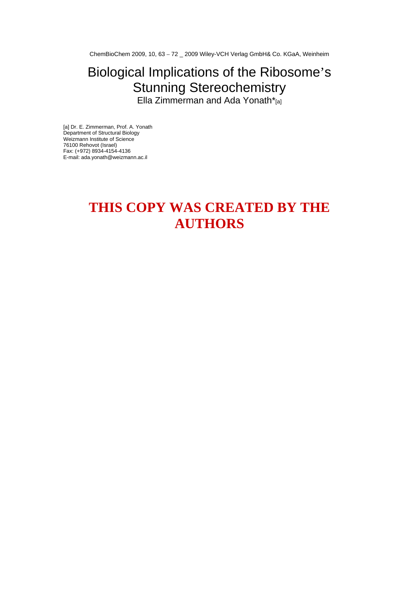ChemBioChem 2009, 10, 63 – 72 \_ 2009 Wiley-VCH Verlag GmbH& Co. KGaA, Weinheim

## Biological Implications of the Ribosome's Stunning Stereochemistry

Ella Zimmerman and Ada Yonath\*[a]

[a] Dr. E. Zimmerman, Prof. A. Yonath Department of Structural Biology Weizmann Institute of Science 76100 Rehovot (Israel) Fax: (+972) 8934-4154-4136 E-mail: ada.yonath@weizmann.ac.il

### **THIS COPY WAS CREATED BY THE AUTHORS**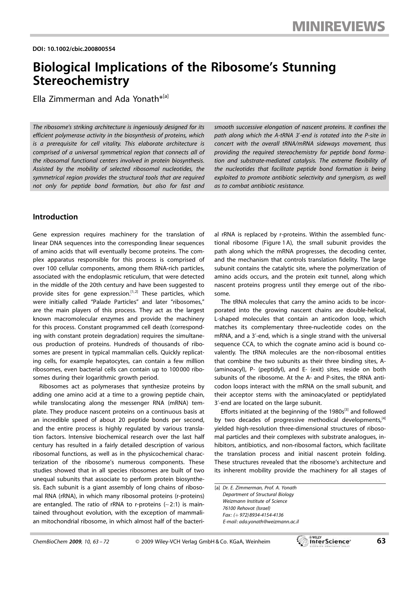DOI: 10.1002/cbic.200800554

### Biological Implications of the Ribosome's Stunning **Stereochemistry**

Ella Zimmerman and Ada Yonath\*<sup>[a]</sup>

The ribosome's striking architecture is ingeniously designed for its efficient polymerase activity in the biosynthesis of proteins, which is a prerequisite for cell vitality. This elaborate architecture is comprised of a universal symmetrical region that connects all of the ribosomal functional centers involved in protein biosynthesis. Assisted by the mobility of selected ribosomal nucleotides, the symmetrical region provides the structural tools that are required not only for peptide bond formation, but also for fast and

Introduction

Gene expression requires machinery for the translation of linear DNA sequences into the corresponding linear sequences of amino acids that will eventually become proteins. The complex apparatus responsible for this process is comprised of over 100 cellular components, among them RNA-rich particles, associated with the endoplasmic reticulum, that were detected in the middle of the 20th century and have been suggested to provide sites for gene expression.<sup>[1,2]</sup> These particles, which were initially called "Palade Particles" and later "ribosomes," are the main players of this process. They act as the largest known macromolecular enzymes and provide the machinery for this process. Constant programmed cell death (corresponding with constant protein degradation) requires the simultaneous production of proteins. Hundreds of thousands of ribosomes are present in typical mammalian cells. Quickly replicating cells, for example hepatocytes, can contain a few million ribosomes, even bacterial cells can contain up to 100 000 ribosomes during their logarithmic growth period.

Ribosomes act as polymerases that synthesize proteins by adding one amino acid at a time to a growing peptide chain, while translocating along the messenger RNA (mRNA) template. They produce nascent proteins on a continuous basis at an incredible speed of about 20 peptide bonds per second, and the entire process is highly regulated by various translation factors. Intensive biochemical research over the last half century has resulted in a fairly detailed description of various ribosomal functions, as well as in the physicochemical characterization of the ribosome's numerous components. These studies showed that in all species ribosomes are built of two unequal subunits that associate to perform protein biosynthesis. Each subunit is a giant assembly of long chains of ribosomal RNA (rRNA), in which many ribosomal proteins (r-proteins) are entangled. The ratio of rRNA to r-proteins  $(-2:1)$  is maintained throughout evolution, with the exception of mammalian mitochondrial ribosome, in which almost half of the bacterismooth successive elongation of nascent proteins. It confines the path along which the A-tRNA 3'-end is rotated into the P-site in concert with the overall tRNA/mRNA sideways movement, thus providing the required stereochemistry for peptide bond formation and substrate-mediated catalysis. The extreme flexibility of the nucleotides that facilitate peptide bond formation is being exploited to promote antibiotic selectivity and synergism, as well as to combat antibiotic resistance.

al rRNA is replaced by r-proteins. Within the assembled functional ribosome (Figure 1A), the small subunit provides the path along which the mRNA progresses, the decoding center, and the mechanism that controls translation fidelity. The large subunit contains the catalytic site, where the polymerization of amino acids occurs, and the protein exit tunnel, along which nascent proteins progress until they emerge out of the ribosome.

The tRNA molecules that carry the amino acids to be incorporated into the growing nascent chains are double-helical, L-shaped molecules that contain an anticodon loop, which matches its complementary three-nucleotide codes on the mRNA, and a 3'-end, which is a single strand with the universal sequence CCA, to which the cognate amino acid is bound covalently. The tRNA molecules are the non-ribosomal entities that combine the two subunits as their three binding sites, A- (aminoacyl), P- (peptidyl), and E- (exit) sites, reside on both subunits of the ribosome. At the A- and P-sites, the tRNA anticodon loops interact with the mRNA on the small subunit, and their acceptor stems with the aminoacylated or peptidylated 3'-end are located on the large subunit.

Efforts initiated at the beginning of the  $1980s^{[3]}$  and followed by two decades of progressive methodical developments, $[4]$ yielded high-resolution three-dimensional structures of ribosomal particles and their complexes with substrate analogues, inhibitors, antibiotics, and non-ribosomal factors, which facilitate the translation process and initial nascent protein folding. These structures revealed that the ribosome's architecture and its inherent mobility provide the machinery for all stages of

<sup>[</sup>a] Dr. E. Zimmerman, Prof. A. Yonath Department of Structural Biology Weizmann Institute of Science 76100 Rehovot (Israel) Fax: (+972) 8934-4154-4136 E-mail: ada.yonath@weizmann.ac.il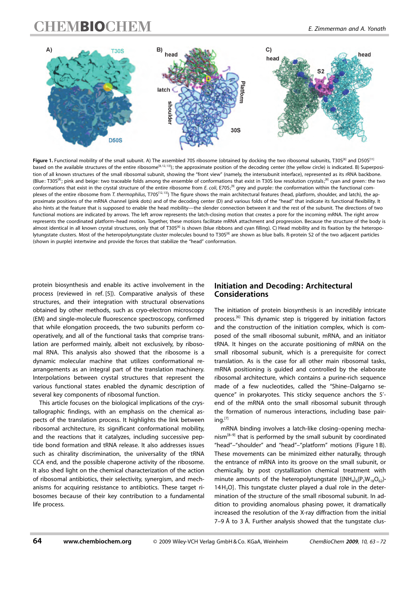

Figure 1. Functional mobility of the small subunit. A) The assembled 70S ribosome (obtained by docking the two ribosomal subunits, T30S<sup>[8]</sup> and D50S<sup>[11]</sup> based on the available structures of the entire ribosome<sup>[8, 12, 13</sup>]; the approximate position of the decoding center (the yellow circle) is indicated. B) Superposition of all known structures of the small ribosomal subunit, showing the "front view" (namely, the intersubunit interface), represented as its rRNA backbone. (Blue: T30S<sup>[8]</sup>; pink and beige: two traceable folds among the ensemble of conformations that exist in T30S low resolution crystals;<sup>[8]</sup> cyan and green: the two conformations that exist in the crystal structure of the entire ribosome from E. coli, E70S;<sup>[9]</sup> grey and purple: the conformation within the functional complexes of the entire ribosome from T. thermophilus, T70S<sup>[12, 13</sup>]) The figure shows the main architectural features (head, platform, shoulder, and latch), the approximate positions of the mRNA channel (pink dots) and of the decoding center (D) and various folds of the "head" that indicate its functional flexibility. It also hints at the feature that is supposed to enable the head mobility—the slender connection between it and the rest of the subunit. The directions of two functional motions are indicated by arrows. The left arrow represents the latch-closing motion that creates a pore for the incoming mRNA. The right arrow represents the coordinated platform–head motion. Together, these motions facilitate mRNA attachment and progression. Because the structure of the body is almost identical in all known crystal structures, only that of T30S<sup>[8]</sup> is shown (blue ribbons and cyan filling). C) Head mobility and its fixation by the heteropolytungstate clusters. Most of the heteropolytungstate cluster molecules bound to T30S<sup>[8]</sup> are shown as blue balls. R-protein S2 of the two adjacent particles (shown in purple) intertwine and provide the forces that stabilize the "head" conformation.

protein biosynthesis and enable its active involvement in the process (reviewed in ref. [5]). Comparative analysis of these structures, and their integration with structural observations obtained by other methods, such as cryo-electron microscopy (EM) and single-molecule fluorescence spectroscopy, confirmed that while elongation proceeds, the two subunits perform cooperatively, and all of the functional tasks that comprise translation are performed mainly, albeit not exclusively, by ribosomal RNA. This analysis also showed that the ribosome is a dynamic molecular machine that utilizes conformational rearrangements as an integral part of the translation machinery. Interpolations between crystal structures that represent the various functional states enabled the dynamic description of several key components of ribosomal function.

This article focuses on the biological implications of the crystallographic findings, with an emphasis on the chemical aspects of the translation process. It highlights the link between ribosomal architecture, its significant conformational mobility, and the reactions that it catalyzes, including successive peptide bond formation and tRNA release. It also addresses issues such as chirality discrimination, the universality of the tRNA CCA end, and the possible chaperone activity of the ribosome. It also shed light on the chemical characterization of the action of ribosomal antibiotics, their selectivity, synergism, and mechanisms for acquiring resistance to antibiotics. These target ribosomes because of their key contribution to a fundamental life process.

#### Initiation and Decoding: Architectural Considerations

The initiation of protein biosynthesis is an incredibly intricate process.<sup>[6]</sup> This dynamic step is triggered by initiation factors and the construction of the initiation complex, which is composed of the small ribosomal subunit, mRNA, and an initiator tRNA. It hinges on the accurate positioning of mRNA on the small ribosomal subunit, which is a prerequisite for correct translation. As is the case for all other main ribosomal tasks, mRNA positioning is guided and controlled by the elaborate ribosomal architecture, which contains a purine-rich sequence made of a few nucleotides, called the "Shine–Dalgarno sequence" in prokaryotes. This sticky sequence anchors the 5' end of the mRNA onto the small ribosomal subunit through the formation of numerous interactions, including base pair $ing.<sup>[7]</sup>$ 

mRNA binding involves a latch-like closing–opening mecha $n$ ism<sup>[8–9]</sup> that is performed by the small subunit by coordinated "head"–"shoulder" and "head"–"platform" motions (Figure 1 B). These movements can be minimized either naturally, through the entrance of mRNA into its groove on the small subunit, or chemically, by post crystallization chemical treatment with minute amounts of the heteropolytungstate  $[(NH_4)_6(P_2W_{18}O_{62})\cdot$ 14H<sub>2</sub>O]. This tungstate cluster played a dual role in the determination of the structure of the small ribosomal subunit. In addition to providing anomalous phasing power, it dramatically increased the resolution of the X-ray diffraction from the initial 7–9 Å to 3 Å. Further analysis showed that the tungstate clus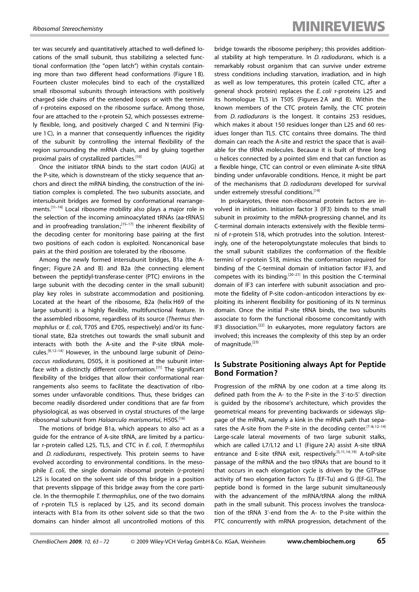ter was securely and quantitatively attached to well-defined locations of the small subunit, thus stabilizing a selected functional conformation (the "open latch") within crystals containing more than two different head conformations (Figure 1 B). Fourteen cluster molecules bind to each of the crystallized small ribosomal subunits through interactions with positively charged side chains of the extended loops or with the termini of r-proteins exposed on the ribosome surface. Among those, four are attached to the r-protein S2, which possesses extremely flexible, long, and positively charged C and N termini (Figure 1 C), in a manner that consequently influences the rigidity of the subunit by controlling the internal flexibility of the region surrounding the mRNA chain, and by gluing together proximal pairs of crystallized particles.[10]

Once the initiator tRNA binds to the start codon (AUG) at the P-site, which is downstream of the sticky sequence that anchors and direct the mRNA binding, the construction of the initiation complex is completed. The two subunits associate, and intersubunit bridges are formed by conformational rearrangements.<sup>[11–14]</sup> Local ribosome mobility also plays a major role in the selection of the incoming aminoacylated tRNAs (aa-tRNAS) and in proofreading translation; $[15-17]$  the inherent flexibility of the decoding center for monitoring base pairing at the first two positions of each codon is exploited. Noncanonical base pairs at the third position are tolerated by the ribosome.

Among the newly formed intersubunit bridges, B1a (the Afinger; Figure 2A and B) and B2a (the connecting element between the peptidyl-transferase-center (PTC) environs in the large subunit with the decoding center in the small subunit) play key roles in substrate accommodation and positioning. Located at the heart of the ribosome, B2a (helix H69 of the large subunit) is a highly flexible, multifunctional feature. In the assembled ribosome, regardless of its source (Thermus thermophilus or E. coli, T70S and E70S, respectively) and/or its functional state, B2a stretches out towards the small subunit and interacts with both the A-site and the P-site tRNA molecules.<sup>[9, 12–14]</sup> However, in the unbound large subunit of *Deino*coccus radiodurans, D50S, it is positioned at the subunit interface with a distinctly different conformation.[11] The significant flexibility of the bridges that allow their conformational rearrangements also seems to facilitate the deactivation of ribosomes under unfavorable conditions. Thus, these bridges can become readily disordered under conditions that are far from physiological, as was observed in crystal structures of the large ribosomal subunit from Haloarcula marismortui, H50S.<sup>[18]</sup>

The motions of bridge B1a, which appears to also act as a guide for the entrance of A-site tRNA, are limited by a particular r-protein called L25, TL5, and CTC in E. coli, T. thermophilus and D. radiodurans, respectively. This protein seems to have evolved according to environmental conditions. In the mesophile E. coli, the single domain ribosomal protein (r-protein) L25 is located on the solvent side of this bridge in a position that prevents slippage of this bridge away from the core particle. In the thermophile T. thermophilus, one of the two domains of r-protein TL5 is replaced by L25, and its second domain interacts with B1a from its other solvent side so that the two domains can hinder almost all uncontrolled motions of this bridge towards the ribosome periphery; this provides additional stability at high temperature. In D. radiodurans, which is a remarkably robust organism that can survive under extreme stress conditions including starvation, irradiation, and in high as well as low temperatures, this protein (called CTC, after a general shock protein) replaces the E. coli r-proteins L25 and its homologue TL5 in T50S (Figures 2A and B). Within the known members of the CTC protein family, the CTC protein from D. radiodurans is the longest. It contains 253 residues, which makes it about 150 residues longer than L25 and 60 residues longer than TL5. CTC contains three domains. The third domain can reach the A-site and restrict the space that is available for the tRNA molecules. Because it is built of three long  $\alpha$  helices connected by a pointed slim end that can function as a flexible hinge, CTC can control or even eliminate A-site tRNA binding under unfavorable conditions. Hence, it might be part of the mechanisms that D. radiodurans developed for survival under extremely stressful conditions.[19]

In prokaryotes, three non-ribosomal protein factors are involved in initiation. Initiation factor 3 (IF3) binds to the small subunit in proximity to the mRNA-progressing channel, and its C-terminal domain interacts extensively with the flexible termini of r-protein S18, which protrudes into the solution. Interestingly, one of the heteropolytungstate molecules that binds to the small subunit stabilizes the conformation of the flexible termini of r-protein S18, mimics the conformation required for binding of the C-terminal domain of initiation factor IF3, and competes with its binding.[20–21] In this position the C-terminal domain of IF3 can interfere with subunit association and promote the fidelity of P-site codon–anticodon interactions by exploiting its inherent flexibility for positioning of its N terminus domain. Once the initial P-site tRNA binds, the two subunits associate to form the functional ribosome concomitantly with IF3 dissociation.[22] In eukaryotes, more regulatory factors are involved; this increases the complexity of this step by an order of magnitude.<sup>[23]</sup>

#### Is Substrate Positioning always Apt for Peptide Bond Formation?

Progression of the mRNA by one codon at a time along its defined path from the A- to the P-site in the 3'-to-5' direction is guided by the ribosome's architecture, which provides the geometrical means for preventing backwards or sideways slippage of the mRNA, namely a kink in the mRNA path that separates the A-site from the P-site in the decoding center.<sup>[7-8,12-14]</sup> Large-scale lateral movements of two large subunit stalks, which are called L7/L12 and L1 (Figure 2A) assist A-site tRNA entrance and E-site tRNA exit, respectively.<sup>[5, 11, 14, 19]</sup> A-toP-site passage of the mRNA and the two tRNAs that are bound to it that occurs in each elongation cycle is driven by the GTPase activity of two elongation factors Tu (EF-Tu) and G (EF-G). The peptide bond is formed in the large subunit simultaneously with the advancement of the mRNA/tRNA along the mRNA path in the small subunit. This process involves the translocation of the tRNA 3'-end from the A- to the P-site within the PTC concurrently with mRNA progression, detachment of the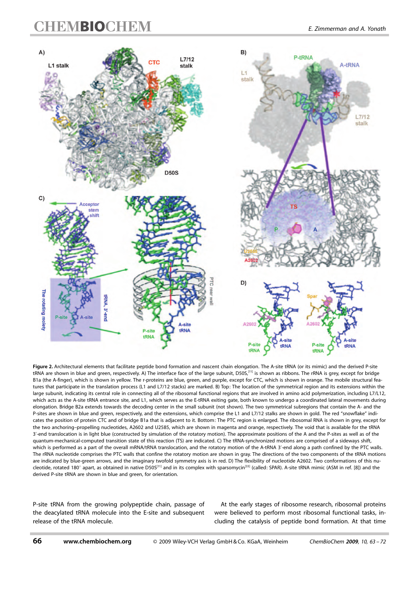### **NHEMBIOCHEM**



Figure 2. Architectural elements that facilitate peptide bond formation and nascent chain elongation. The A-site tRNA (or its mimic) and the derived P-site tRNA are shown in blue and green, respectively. A) The interface face of the large subunit, D50S,<sup>[11]</sup> is shown as ribbons. The rRNA is grey, except for bridge B1a (the A-finger), which is shown in yellow. The r-proteins are blue, green, and purple, except for CTC, which is shown in orange. The mobile structural features that participate in the translation process (L1 and L7/12 stacks) are marked. B) Top: The location of the symmetrical region and its extensions within the large subunit, indicating its central role in connecting all of the ribosomal functional regions that are involved in amino acid polymerization, including L7/L12, which acts as the A-site tRNA entrance site, and L1, which serves as the E-tRNA exiting gate, both known to undergo a coordinated lateral movements during elongation. Bridge B2a extends towards the decoding center in the small subunit (not shown). The two symmetrical subregions that contain the A- and the P-sites are shown in blue and green, respectively, and the extensions, which comprise the L1 and L7/12 stalks are shown in gold. The red "snowflake" indicates the position of protein CTC and of bridge B1a that is adjacent to it. Bottom: The PTC region is enlarged. The ribosomal RNA is shown in grey, except for the two anchoring–propelling nucleotides, A2602 and U2585, which are shown in magenta and orange, respectively. The void that is available for the tRNA 3'-end translocation is in light blue (constructed by simulation of the rotatory motion). The approximate positions of the A and the P-sites as well as of the quantum-mechanical-computed transition state of this reaction (TS) are indicated. C) The tRNA-synchronized motions are comprised of a sideways shift, which is performed as a part of the overall mRNA/tRNA translocation, and the rotatory motion of the A-tRNA 3'-end along a path confined by the PTC walls. The rRNA nucleotide comprises the PTC walls that confine the rotatory motion are shown in gray. The directions of the two components of the tRNA motions are indicated by blue-green arrows, and the imaginary twofold symmetry axis is in red. D) The flexibility of nucleotide A2602. Two conformations of this nucleotide, rotated 180° apart, as obtained in native D50S<sup>[11]</sup> and in its complex with sparsomycin<sup>[33]</sup> (called: SPAR). A-site tRNA mimic (ASM in ref. [8]) and the derived P-site tRNA are shown in blue and green, for orientation.

P-site tRNA from the growing polypeptide chain, passage of the deacylated tRNA molecule into the E-site and subsequent release of the tRNA molecule.

At the early stages of ribosome research, ribosomal proteins were believed to perform most ribosomal functional tasks, including the catalysis of peptide bond formation. At that time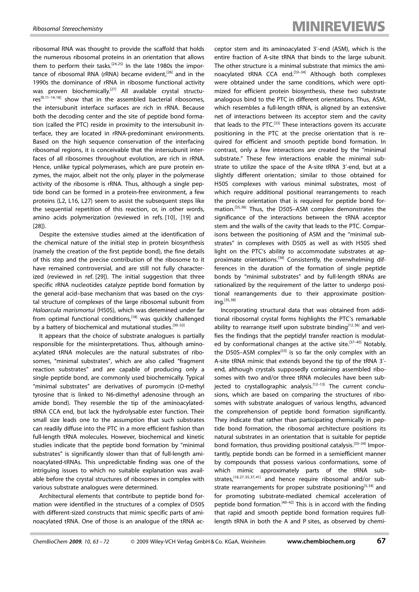ribosomal RNA was thought to provide the scaffold that holds the numerous ribosomal proteins in an orientation that allows them to perform their tasks.  $[24, 25]$  In the late 1980s the importance of ribosomal RNA ( $rRNA$ ) became evident,<sup>[26]</sup> and in the 1990s the dominance of rRNA in ribosome functional activity was proven biochemically.<sup>[27]</sup> All available crystal structu $res<sup>[9,11–14,18]</sup>$  show that in the assembled bacterial ribosomes, the intersubunit interface surfaces are rich in rRNA. Because both the decoding center and the site of peptide bond formation (called the PTC) reside in proximity to the intersubunit interface, they are located in rRNA-predominant environments. Based on the high sequence conservation of the interfacing ribosomal regions, it is conceivable that the intersubunit interfaces of all ribosomes throughout evolution, are rich in rRNA. Hence, unlike typical polymerases, which are pure protein enzymes, the major, albeit not the only, player in the polymerase activity of the ribosome is rRNA. Thus, although a single peptide bond can be formed in a protein-free environment, a few proteins (L2, L16, L27) seem to assist the subsequent steps like the sequential repetition of this reaction, or, in other words, amino acids polymerization (reviewed in refs. [10], [19] and [28]).

Despite the extensive studies aimed at the identification of the chemical nature of the initial step in protein biosynthesis (namely the creation of the first peptide bond), the fine details of this step and the precise contribution of the ribosome to it have remained controversial, and are still not fully characterized (reviewed in ref. [29]). The initial suggestion that three specific rRNA nucleotides catalyze peptide bond formation by the general acid–base mechanism that was based on the crystal structure of complexes of the large ribosomal subunit from Haloarcula marismortui (H50S), which was detemined under far from optimal functional conditions,<sup>[18]</sup> was quickly challenged by a battery of biochemical and mutational studies.<sup>[30-32]</sup>

It appears that the choice of substrate analogues is partially responsible for the misinterpretations. Thus, although aminoacylated tRNA molecules are the natural substrates of ribosomes, "minimal substrates", which are also called "fragment reaction substrates" and are capable of producing only a single peptide bond, are commonly used biochemically. Typical "minimal substrates" are derivatives of puromycin (O-methyl tyrosine that is linked to N6-dimethyl adenosine through an amide bond). They resemble the tip of the aminoacylatedtRNA CCA end, but lack the hydrolysable ester function. Their small size leads one to the assumption that such substrates can readily diffuse into the PTC in a more efficient fashion than full-length tRNA molecules. However, biochemical and kinetic studies indicate that the peptide bond formation by "minimal substrates" is significantly slower than that of full-length aminoacylated-tRNAs. This unpredictable finding was one of the intriguing issues to which no suitable explanation was available before the crystal structures of ribosomes in complex with various substrate analogues were determined.

Architectural elements that contribute to peptide bond formation were identified in the structures of a complex of D50S with different-sized constructs that mimic specific parts of aminoacylated tRNA. One of those is an analogue of the tRNA acceptor stem and its aminoacylated 3'-end (ASM), which is the entire fraction of A-site tRNA that binds to the large subunit. The other structure is a minimal substrate that mimics the aminoacylated tRNA CCA end.<sup>[33–34]</sup> Although both complexes were obtained under the same conditions, which were optimized for efficient protein biosynthesis, these two substrate analogous bind to the PTC in different orientations. Thus, ASM, which resembles a full-length tRNA, is aligned by an extensive net of interactions between its acceptor stem and the cavity that leads to the PTC.<sup>[33]</sup> These interactions govern its accurate positioning in the PTC at the precise orientation that is required for efficient and smooth peptide bond formation. In contrast, only a few interactions are created by the "minimal substrate." These few interactions enable the minimal substrate to utilize the space of the A-site tRNA 3'-end, but at a slightly different orientation; similar to those obtained for H50S complexes with various minimal substrates, most of which require additional positional rearrangements to reach the precise orientation that is required for peptide bond formation.[35, 36] Thus, the D50S–ASM complex demonstrates the significance of the interactions between the tRNA acceptor stem and the walls of the cavity that leads to the PTC. Comparisons between the positioning of ASM and the "minimal substrates" in complexes with D50S as well as with H50S shed light on the PTC's ability to accommodate substrates at approximate orientations.<sup>[36]</sup> Consistently, the overwhelming differences in the duration of the formation of single peptide bonds by "minimal substrates" and by full-length tRNAs are rationalized by the requirement of the latter to undergo positional rearrangements due to their approximate positioning.<sup>[35, 36]</sup>

Incorporating structural data that was obtained from additional ribosomal crystal forms highlights the PTC's remarkable ability to rearrange itself upon substrate binding  $[12, 36]$  and verifies the findings that the peptidyl transfer reaction is modulated by conformational changes at the active site.<sup>[37-40]</sup> Notably, the D50S-ASM complex $[33]$  is so far the only complex with an A-site tRNA mimic that extends beyond the tip of the tRNA 3' end, although crystals supposedly containing assembled ribosomes with two and/or three tRNA molecules have been subjected to crystallographic analysis.<sup>[12-13]</sup> The current conclusions, which are based on comparing the structures of ribosomes with substrate analogues of various lengths, advanced the comprehension of peptide bond formation significantly. They indicate that rather than participating chemically in peptide bond formation, the ribosomal architecture positions its natural substrates in an orientation that is suitable for peptide bond formation, thus providing positional catalysis.[33–34] Importantly, peptide bonds can be formed in a semiefficient manner by compounds that possess various conformations, some of which mimic approximately parts of the tRNA substrates, [18, 27, 35, 37, 41] and hence require ribosomal and/or substrate rearrangements for proper substrate positioning<sup>[5,34]</sup> and for promoting substrate-mediated chemical acceleration of peptide bond formation. $[40-42]$  This is in accord with the finding that rapid and smooth peptide bond formation requires fulllength tRNA in both the A and P sites, as observed by chemi-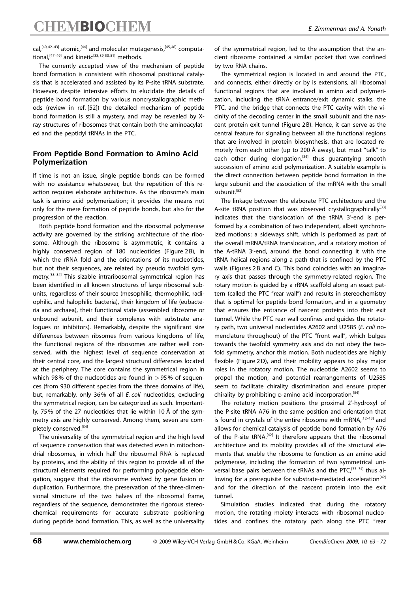### **CHEMBIOCHEM**

cal, $[40, 42-43]$  atomic, $[44]$  and molecular mutagenesis, $[45, 46]$  computational,  $[47-49]$  and kinetic<sup>[38, 39, 50, 51]</sup> methods.

The currently accepted view of the mechanism of peptide bond formation is consistent with ribosomal positional catalysis that is accelerated and assisted by its P-site tRNA substrate. However, despite intensive efforts to elucidate the details of peptide bond formation by various noncrystallographic methods (review in ref. [52]) the detailed mechanism of peptide bond formation is still a mystery, and may be revealed by Xray structures of ribosomes that contain both the aminoacylated and the peptidyl tRNAs in the PTC.

#### From Peptide Bond Formation to Amino Acid Polymerization

If time is not an issue, single peptide bonds can be formed with no assistance whatsoever, but the repetition of this reaction requires elaborate architecture. As the ribosome's main task is amino acid polymerization; it provides the means not only for the mere formation of peptide bonds, but also for the progression of the reaction.

Both peptide bond formation and the ribosomal polymerase activity are governed by the striking architecture of the ribosome. Although the ribosome is asymmetric, it contains a highly conserved region of 180 nucleotides (Figure 2B), in which the rRNA fold and the orientations of its nucleotides, but not their sequences, are related by pseudo twofold symmetry.[33–34] This sizable intraribosomal symmetrical region has been identified in all known structures of large ribosomal subunits, regardless of their source (mesophilic, thermophilic, radiophilic, and halophilic bacteria), their kingdom of life (eubacteria and archaea), their functional state (assembled ribosome or unbound subunit, and their complexes with substrate analogues or inhibitors). Remarkably, despite the significant size differences between ribsomes from various kingdoms of life, the functional regions of the ribosomes are rather well conserved, with the highest level of sequence conservation at their central core, and the largest structural differences located at the periphery. The core contains the symmetrical region in which 98% of the nucleotides are found in  $>$ 95% of sequences (from 930 different species from the three domains of life), but, remarkably, only 36% of all E. coli nucleotides, excluding the symmetrical region, can be categorized as such. Importantly, 75% of the 27 nucleotides that lie within 10 Å of the symmetry axis are highly conserved. Among them, seven are completely conserved.<sup>[34]</sup>

The universality of the symmetrical region and the high level of sequence conservation that was detected even in mitochondrial ribosomes, in which half the ribosomal RNA is replaced by proteins, and the ability of this region to provide all of the structural elements required for performing polypeptide elongation, suggest that the ribosome evolved by gene fusion or duplication. Furthermore, the preservation of the three-dimensional structure of the two halves of the ribosomal frame, regardless of the sequence, demonstrates the rigorous stereochemical requirements for accurate substrate positioning during peptide bond formation. This, as well as the universality of the symmetrical region, led to the assumption that the ancient ribosome contained a similar pocket that was confined by two RNA chains.

The symmetrical region is located in and around the PTC, and connects, either directly or by is extensions, all ribosomal functional regions that are involved in amino acid polymerization, including the tRNA entrance/exit dynamic stalks, the PTC, and the bridge that connects the PTC cavity with the vicinity of the decoding center in the small subunit and the nascent protein exit tunnel (Figure 2 B). Hence, it can serve as the central feature for signaling between all the functional regions that are involved in protein biosynthesis, that are located remotely from each other (up to 200 Å away), but must "talk" to each other during elongation,<sup>[34]</sup> thus guarantying smooth succession of amino acid polymerization. A suitable example is the direct connection between peptide bond formation in the large subunit and the association of the mRNA with the small subunit.<sup>[53]</sup>

The linkage between the elaborate PTC architecture and the A-site tRNA position that was observed crystallographically<sup>[33]</sup> indicates that the translocation of the tRNA 3'-end is performed by a combination of two independent, albeit synchronized motions: a sideways shift, which is performed as part of the overall mRNA/tRNA translocation, and a rotatory motion of the A-tRNA 3'-end, around the bond connecting it with the tRNA helical regions along a path that is confined by the PTC walls (Figures 2B and C). This bond coincides with an imaginary axis that passes through the symmetry-related region. The rotary motion is guided by a rRNA scaffold along an exact pattern (called the PTC "rear wall") and results in stereochemistry that is optimal for peptide bond formation, and in a geometry that ensures the entrance of nascent proteins into their exit tunnel. While the PTC rear wall confines and guides the rotatory path, two universal nucleotides A2602 and U2585 (E. coli nomenclature throughout) of the PTC "front wall", which bulges towards the twofold symmetry axis and do not obey the twofold symmetry, anchor this motion. Both nucleotides are highly flexible (Figure 2D), and their mobility appears to play major roles in the rotatory motion. The nucleotide A2602 seems to propel the motion, and potential rearrangements of U2585 seem to facilitate chirality discrimination and ensure proper chirality by prohibiting p-amino acid incorporation.<sup>[54]</sup>

The rotatory motion positions the proximal 2'-hydroxyl of the P-site tRNA A76 in the same position and orientation that is found in crystals of the entire ribosome with mRNA, [12-13] and allows for chemical catalysis of peptide bond formation by A76 of the P-site tRNA.<sup>[42]</sup> It therefore appears that the ribosomal architecture and its mobility provides all of the structural elements that enable the ribosome to function as an amino acid polymerase, including the formation of two symmetrical universal base pairs between the tRNAs and the PTC $,$ [33-34] thus allowing for a prerequisite for substrate-mediated acceleration $^{[42]}$ and for the direction of the nascent protein into the exit tunnel.

Simulation studies indicated that during the rotatory motion, the rotating moiety interacts with ribosomal nucleotides and confines the rotatory path along the PTC "rear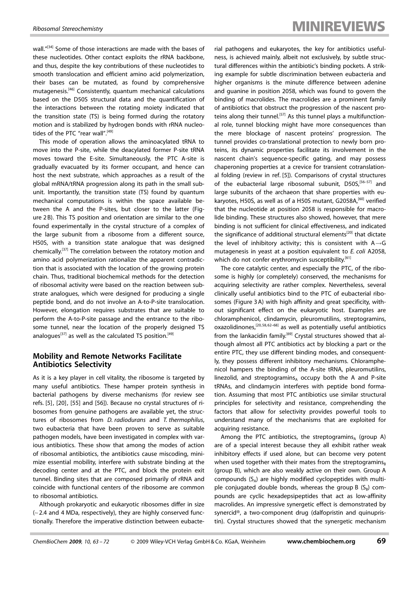wall."<sup>[34]</sup> Some of those interactions are made with the bases of these nucleotides. Other contact exploits the rRNA backbone, and thus, despite the key contributions of these nucleotides to smooth translocation and efficient amino acid polymerization, their bases can be mutated, as found by comprehensive mutagenesis.[46] Consistently, quantum mechanical calculations based on the D50S structural data and the quantification of the interactions between the rotating moiety indicated that the transition state (TS) is being formed during the rotatory motion and is stabilized by hydrogen bonds with rRNA nucleotides of the PTC "rear wall".<sup>[49]</sup>

This mode of operation allows the aminoacylated tRNA to move into the P-site, while the deacylated former P-site tRNA moves toward the E-site. Simultaneously, the PTC A-site is gradually evacuated by its former occupant, and hence can host the next substrate, which approaches as a result of the global mRNA/tRNA progression along its path in the small subunit. Importantly, the transition state (TS) found by quantum mechanical computations is within the space available between the A and the P-sites, but closer to the latter (Figure 2 B). This TS position and orientation are similar to the one found experimentally in the crystal structure of a complex of the large subunit from a ribosome from a different source, H50S, with a transition state analogue that was designed chemically.[37] The correlation between the rotatory motion and amino acid polymerization rationalize the apparent contradiction that is associated with the location of the growing protein chain. Thus, traditional biochemical methods for the detection of ribosomal activity were based on the reaction between substrate analogues, which were designed for producing a single peptide bond, and do not involve an A-to-P-site translocation. However, elongation requires substrates that are suitable to perform the A-to-P-site passage and the entrance to the ribosome tunnel, near the location of the properly designed TS analogues<sup>[37]</sup> as well as the calculated TS position.<sup>[49]</sup>

#### Mobility and Remote Networks Facilitate Antibiotics Selectivity

As it is a key player in cell vitality, the ribosome is targeted by many useful antibiotics. These hamper protein synthesis in bacterial pathogens by diverse mechanisms (for review see refs. [5], [20], [55] and [56]). Because no crystal structures of ribosomes from genuine pathogens are available yet, the structures of ribosomes from D. radiodurans and T. thermophilus, two eubacteria that have been proven to serve as suitable pathogen models, have been investigated in complex with various antibiotics. These show that among the modes of action of ribosomal antibiotics, the antibiotics cause miscoding, minimize essential mobility, interfere with substrate binding at the decoding center and at the PTC, and block the protein exit tunnel. Binding sites that are composed primarily of rRNA and coincide with functional centers of the ribosome are common to ribosomal antibiotics.

Although prokaryotic and eukaryotic ribosomes differ in size  $\sim$  2.4 and 4 MDa, respectively), they are highly conserved functionally. Therefore the imperative distinction between eubacte-

rial pathogens and eukaryotes, the key for antibiotics usefulness, is achieved mainly, albeit not exclusively, by subtle structural differences within the antibiotic's binding pockets. A striking example for subtle discrimination between eubacteria and higher organisms is the minute difference between adenine and guanine in position 2058, which was found to govern the binding of macrolides. The macrolides are a prominent family of antibiotics that obstruct the progression of the nascent proteins along their tunnel.<sup>[57]</sup> As this tunnel plays a multifunctional role, tunnel blocking might have more consequences than the mere blockage of nascent proteins' progression. The tunnel provides co-translational protection to newly born proteins, its dynamic properties facilitate its involvement in the nascent chain's sequence-specific gating, and may possess chaperoning properties at a crevice for transient cotranslational folding (review in ref. [5]). Comparisons of crystal structures of the eubacterial large ribosomal subunit, D50S,<sup>[56–57]</sup> and large subunits of the archaeon that share properties with eukaryotes, H50S, as well as of a H50S mutant, G2058A,<sup>[60]</sup> verified that the nucleotide at position 2058 is responsible for macrolide binding. These structures also showed, however, that mere binding is not sufficient for clinical effectiveness, and indicated the significance of additional structural elements<sup>[20]</sup> that dictate the level of inhibitory activity; this is consistent with  $A \rightarrow G$ mutagenesis in yeast at a position equivalent to E. coli A2058, which do not confer erythromycin susceptibility.<sup>[61]</sup>

The core catalytic center, and especially the PTC, of the ribosome is highly (or completely) conserved, the mechanisms for acquiring selectivity are rather complex. Nevertheless, several clinically useful antibiotics bind to the PTC of eubacterial ribosomes (Figure 3 A) with high affinity and great specificity, without significant effect on the eukaryotic host. Examples are chloramphenicol, clindamycin, pleuromutilins, streptogramins,  $oxazolidinones<sub>r</sub><sup>[20,58,62–68]</sup>$  as well as potentially useful antibiotics from the lankacidin family.<sup>[69]</sup> Crystal structures showed that although almost all PTC antibiotics act by blocking a part or the entire PTC, they use different binding modes, and consequently, they possess different inhibitory mechanisms. Chloramphenicol hampers the binding of the A-site tRNA, pleuromutilins, linezolid, and streptogramins<sub>A</sub> occupy both the A and P-site tRNAs, and clindamycin interferes with peptide bond formation. Assuming that most PTC antibiotics use similar structural principles for selectivity and resistance, comprehending the factors that allow for selectivity provides powerful tools to understand many of the mechanisms that are exploited for acquiring resistance.

Among the PTC antibiotics, the streptogramins $_A$  (group A) are of a special interest because they all exhibit rather weak inhibitory effects if used alone, but can become very potent when used together with their mates from the streptogramins $_B$ (group B), which are also weakly active on their own. Group A compounds  $(S_A)$  are highly modified cyclopeptides with multiple conjugated double bonds, whereas the group B  $(S_B)$  compounds are cyclic hexadepsipeptides that act as low-affinity macrolides. An impressive synergetic effect is demonstrated by synercid®, a two-component drug (dalfopristin and quinupristin). Crystal structures showed that the synergetic mechanism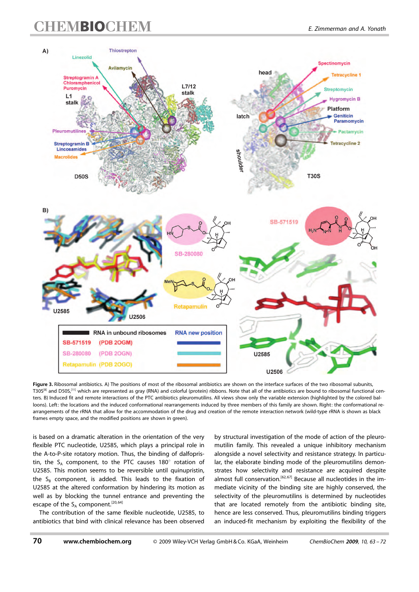## **HEMBIOCHEM**



Figure 3. Ribosomal antibiotics. A) The positions of most of the ribosomal antibiotics are shown on the interface surfaces of the two ribosomal subunits, T30S<sup>[8]</sup> and D50S,<sup>[11]</sup> which are represented as gray (RNA) and colorful (protein) ribbons. Note that all of the antibiotics are bound to ribosomal functional centers. B) Induced fit and remote interactions of the PTC antibiotics pleuromutilins. All views show only the variable extension (highlighted by the colored balloons). Left: the locations and the induced conformational rearrangements induced by three members of this family are shown. Right: the conformational rearrangements of the rRNA that allow for the accommodation of the drug and creation of the remote interaction network (wild-type rRNA is shown as black frames empty space, and the modified positions are shown in green).

is based on a dramatic alteration in the orientation of the very flexible PTC nucleotide, U2585, which plays a principal role in the A-to-P-site rotatory motion. Thus, the binding of dalfopristin, the  $S_A$  component, to the PTC causes 180 $^{\circ}$  rotation of U2585. This motion seems to be reversible until quinupristin, the  $S_B$  component, is added. This leads to the fixation of U2585 at the altered conformation by hindering its motion as well as by blocking the tunnel entrance and preventing the escape of the  $S_A$  component.<sup>[20,64]</sup>

The contribution of the same flexible nucleotide, U2585, to antibiotics that bind with clinical relevance has been observed by structural investigation of the mode of action of the pleuromutilin family. This revealed a unique inhibitory mechanism alongside a novel selectivity and resistance strategy. In particular, the elaborate binding mode of the pleuromutilins demonstrates how selectivity and resistance are acquired despite almost full conservation.<sup>[62, 67]</sup> Because all nucleotides in the immediate vicinity of the binding site are highly conserved, the selectivity of the pleuromutilins is determined by nucleotides that are located remotely from the antibiotic binding site, hence are less conserved. Thus, pleuromutilins binding triggers an induced-fit mechanism by exploiting the flexibility of the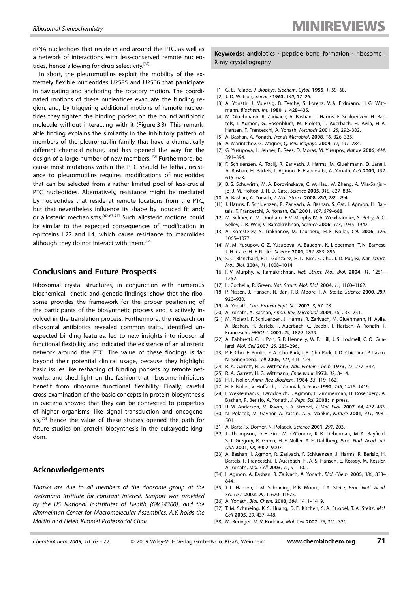rRNA nucleotides that reside in and around the PTC, as well as a network of interactions with less-conserved remote nucleotides, hence allowing for drug selectivity.<sup>[67]</sup>

In short, the pleuromutilins exploit the mobility of the extremely flexible nucleotides U2585 and U2506 that participate in navigating and anchoring the rotatory motion. The coordinated motions of these nucleotides evacuate the binding region, and, by triggering additional motions of remote nucleotides they tighten the binding pocket on the bound antibiotic molecule without interacting with it (Figure 3 B). This remarkable finding explains the similarity in the inhibitory pattern of members of the pleuromutilin family that have a dramatically different chemical nature, and has opened the way for the design of a large number of new members.<sup>[70]</sup> Furthermore, because most mutations within the PTC should be lethal, resistance to pleuromutilins requires modifications of nucleotides that can be selected from a rather limited pool of less-crucial PTC nucleotides. Alternatively, resistance might be mediated by nucleotides that reside at remote locations from the PTC, but that nevertheless influence its shape by induced fit and/ or allosteric mechanisms;<sup>[62,67,71]</sup> Such allosteric motions could be similar to the expected consequences of modification in r-proteins L22 and L4, which cause resistance to macrolides although they do not interact with them.<sup>[72]</sup>

#### Conclusions and Future Prospects

Ribosomal crystal structures, in conjunction with numerous biochemical, kinetic and genetic findings, show that the ribosome provides the framework for the proper positioning of the participants of the biosynthetic process and is actively involved in the translation process. Furthermore, the research on ribosomal antibiotics revealed common traits, identified unexpected binding features, led to new insights into ribosomal functional flexibility, and indicated the existence of an allosteric network around the PTC. The value of these findings is far beyond their potential clinical usage, because they highlight basic issues like reshaping of binding pockets by remote networks, and shed light on the fashion that ribosome inhibitors benefit from ribosome functional flexibility. Finally, careful cross-examination of the basic concepts in protein biosynthesis in bacteria showed that they can be connected to properties of higher organisms, like signal transduction and oncogene $sis<sub>i</sub>$ <sup>[73]</sup> hence the value of these studies opened the path for future studies on protein biosynthesis in the eukaryotic kingdom.

#### Acknowledgements

Thanks are due to all members of the ribosome group at the Weizmann Institute for constant interest. Support was provided by the US National Inststitutes of Health (GM34360), and the Kimmelman Center for Macromolecular Assemblies. A.Y. holds the Martin and Helen Kimmel Professorial Chair.

- [1] G. E. Palade, J. Biophys. Biochem. Cytol. 1955, 1, 59–68.
- [2] J. D. Watson, Science 1963, 140, 17-26.
- [3] A. Yonath, J. Muessig, B. Tesche, S. Lorenz, V. A. Erdmann, H. G. Wittmann, Biochem. Int. 1980, 1, 428–435.
- [4] M. Gluehmann, R. Zarivach, A. Bashan, J. Harms, F. Schluenzen, H. Bartels, I. Agmon, G. Rosenblum, M. Pioletti, T. Auerbach, H. Avila, H. A. Hansen, F. Franceschi, A. Yonath, Methods 2001, 25[, 292–302](http://dx.doi.org/10.1006/meth.2001.1241).
- [5] A. Bashan, A. Yonath, [Trends Microbiol.](http://dx.doi.org/10.1016/j.tim.2008.05.001) 2008, 16, 326-335.
- [6] A. Marintchev, G. Wagner, Q. Rev. Biophys. 2004, 37, 197-284.
- [7] G. Yusupova, L. Jenner, B. Rees, D. Moras, M. Yusupov, [Nature](http://dx.doi.org/10.1038/nature05281) 2006, 444, [391–394](http://dx.doi.org/10.1038/nature05281).
- [8] F. Schluenzen, A. Tocili, R. Zarivach, J. Harms, M. Gluehmann, D. Janell, A. Bashan, H. Bartels, I. Agmon, F. Franceschi, A. Yonath, Cell [2000](http://dx.doi.org/10.1016/S0092-8674(00)00084-2), 102, [615–623](http://dx.doi.org/10.1016/S0092-8674(00)00084-2).
- [9] B. S. Schuwirth, M. A. Borovinskaya, C. W. Hau, W. Zhang, A. Vila-Sanjurjo, J. M. Holton, J. H. D. Cate, Science 2005, 310, 827-834.
- [10] A. Bashan, A. Yonath, [J. Mol. Struct.](http://dx.doi.org/10.1016/j.molstruc.2008.03.043) 2008, 890, 289-294.
- [11] J. Harms, F. Schluenzen, R. Zarivach, A. Bashan, S. Gat, I. Agmon, H. Bartels, F. Franceschi, A. Yonath, Cell 2001, 107[, 679–688.](http://dx.doi.org/10.1016/S0092-8674(01)00546-3)
- [12] M. Selmer, C. M. Dunham, F. V. Murphy IV, A. Weixlbaumer, S. Petry, A. C. Kelley, J. R. Weir, V. Ramakrishnan, Science 2006, 313[, 1935–1942](http://dx.doi.org/10.1126/science.1131127).
- [13] A. Korostelev, S. Trakhanov, M. Laurberg, H. F. Noller, Cell [2006](http://dx.doi.org/10.1016/j.cell.2006.08.032), 126, [1065–1077.](http://dx.doi.org/10.1016/j.cell.2006.08.032)
- [14] M. M. Yusupov, G. Z. Yusupova, A. Baucom, K. Lieberman, T. N. Earnest, J. H. Cate, H. F. Noller, Science 2001, 292[, 883–896](http://dx.doi.org/10.1126/science.1060089).
- [15] S. C. Blanchard, R. L. Gonzalez, H. D. Kim, S. Chu, J. D. Puglisi, [Nat. Struct.](http://dx.doi.org/10.1038/nsmb831) Mol. Biol. 2004, 11[, 1008–1014](http://dx.doi.org/10.1038/nsmb831).
- [16] F. V. Murphy, V. Ramakrishnan, [Nat. Struct. Mol. Biol.](http://dx.doi.org/10.1038/nsmb866) 2004, 11, 1251-[1252.](http://dx.doi.org/10.1038/nsmb866)
- [17] L. Cochella, R. Green, [Nat. Struct. Mol. Biol.](http://dx.doi.org/10.1038/nsmb1204-1160) 2004, 11, 1160–1162.
- [18] P. Nissen, J. Hansen, N. Ban, P. B. Moore, T. A. Steitz, [Science](http://dx.doi.org/10.1126/science.289.5481.920) 2000, 289. [920–930.](http://dx.doi.org/10.1126/science.289.5481.920)
- [19] A. Yonath, [Curr. Protein Pept. Sci.](http://dx.doi.org/10.2174/1389203023380828) 2002, 3, 67-78.
- [20] A. Yonath, A. Bashan, [Annu. Rev. Microbiol.](http://dx.doi.org/10.1146/annurev.micro.58.030603.123822) 2004, 58, 233–251.
- [21] M. Pioletti, F. Schluenzen, J. Harms, R. Zarivach, M. Gluehmann, H. Avila, A. Bashan, H. Bartels, T. Auerbach, C. Jacobi, T. Hartsch, A. Yonath, F. Franceschi, EMBO J. 2001, 20[, 1829–1839.](http://dx.doi.org/10.1093/emboj/20.8.1829)
- [22] A. Fabbretti, C. L. Pon, S. P. Hennelly, W. E. Hill, J. S. Lodmell, C. O. Gualerzi, Mol. Cell 2007, 25[, 285–296](http://dx.doi.org/10.1016/j.molcel.2006.12.011).
- [23] P. F. Cho, F. Poulin, Y. A. Cho-Park, I. B. Cho-Park, J. D. Chicoine, P. Lasko, N. Sonenberg, Cell 2005, 121[, 411–423](http://dx.doi.org/10.1016/j.cell.2005.02.024).
- [24] R. A. Garrett, H. G. Wittmann, [Adv. Protein Chem.](http://dx.doi.org/10.1016/S0065-3233(08)60450-7) 1973, 27, 277–347.
- [25] R. A. Garrett, H. G. Wittmann, Endeavour 1973, 32, 8–14.
- [26] H. F. Noller, [Annu. Rev. Biochem.](http://dx.doi.org/10.1146/annurev.bi.53.070184.001003) 1984, 53, 119–162.
- [27] H. F. Noller, V. Hoffarth, L. Zimniak, Science 1992, 256[, 1416–1419](http://dx.doi.org/10.1126/science.1604315).
- [28] I. Wekselman, C. Davidovich, I. Agmon, E. Zimmerman, H. Rosenberg, A. Bashan, R. Berisio, A. Yonath, J. Pept. Sci. 2008; in press.
- [29] R. M. Anderson, M. Kwon, S. A. Strobel, [J. Mol. Evol.](http://dx.doi.org/10.1007/s00239-006-0211-y) 2007, 64, 472-483.
- [30] N. Polacek, M. Gaynor, A. Yassin, A. S. Mankin, [Nature](http://dx.doi.org/10.1038/35078113) 2001, 411, 498-[501.](http://dx.doi.org/10.1038/35078113)
- [31] A. Barta, S. Dorner, N. Polacek, Science 2001, 291, 203.
- [32] J. Thompson, D. F. Kim, M. O'Connor, K. R. Lieberman, M. A. Bayfield, S. T. Gregory, R. Green, H. F. Noller, A. E. Dahlberg, [Proc. Natl. Acad. Sci.](http://dx.doi.org/10.1073/pnas.151257098) USA 2001, 98[, 9002–9007](http://dx.doi.org/10.1073/pnas.151257098).
- [33] A. Bashan, I. Agmon, R. Zarivach, F. Schluenzen, J. Harms, R. Berisio, H. Bartels, F. Franceschi, T. Auerbach, H. A. S. Hansen, E. Kossoy, M. Kessler, A. Yonath, Mol. Cell 2003, 11[, 91–102](http://dx.doi.org/10.1016/S1097-2765(03)00009-1).
- [34] I. Agmon, A. Bashan, R. Zarivach, A. Yonath, [Biol. Chem.](http://dx.doi.org/10.1515/BC.2005.098) 2005, 386, 833-[844.](http://dx.doi.org/10.1515/BC.2005.098)
- [35] J. L. Hansen, T. M. Schmeing, P. B. Moore, T. A. Steitz, [Proc. Natl. Acad.](http://dx.doi.org/10.1073/pnas.172404099) Sci. USA 2002, 99[, 11670–11675](http://dx.doi.org/10.1073/pnas.172404099).
- [36] A. Yonath, Biol. Chem. 2003, 384, 1411-1419.
- [37] T. M. Schmeing, K. S. Huang, D. E. Kitchen, S. A. Strobel, T. A. Steitz, [Mol.](http://dx.doi.org/10.1016/j.molcel.2005.09.006) Cell 2005, 20[, 437–448](http://dx.doi.org/10.1016/j.molcel.2005.09.006).
- [38] M. Beringer, M. V. Rodnina, Mol. Cell 2007, 26[, 311–321](http://dx.doi.org/10.1016/j.molcel.2007.03.015).